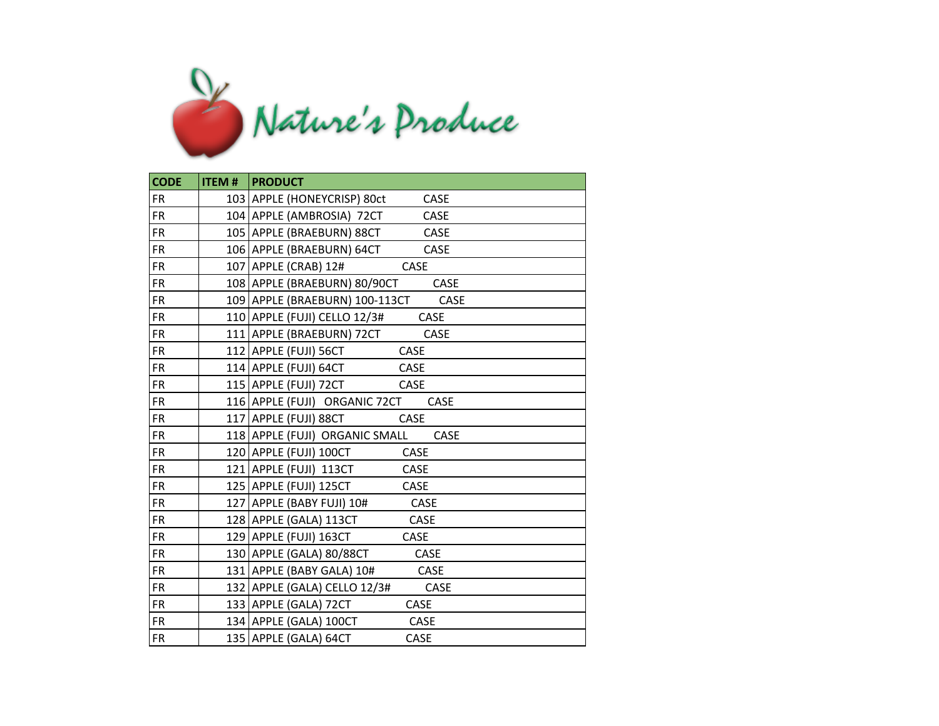

| <b>CODE</b> | <b>ITEM #   PRODUCT</b>                       |
|-------------|-----------------------------------------------|
| <b>FR</b>   | 103 APPLE (HONEYCRISP) 80ct<br>CASE           |
| <b>FR</b>   | 104 APPLE (AMBROSIA) 72CT<br>CASE             |
| <b>FR</b>   | 105 APPLE (BRAEBURN) 88CT<br>CASE             |
| <b>FR</b>   | 106 APPLE (BRAEBURN) 64CT<br><b>CASE</b>      |
| <b>FR</b>   | 107 APPLE (CRAB) 12#<br>CASE                  |
| <b>FR</b>   | 108 APPLE (BRAEBURN) 80/90CT<br>CASE          |
| <b>FR</b>   | 109 APPLE (BRAEBURN) 100-113CT<br><b>CASE</b> |
| <b>FR</b>   | 110 APPLE (FUJI) CELLO 12/3#<br><b>CASE</b>   |
| <b>FR</b>   | 111 APPLE (BRAEBURN) 72CT<br>CASE             |
| FR.         | 112 APPLE (FUJI) 56CT<br><b>CASE</b>          |
| <b>FR</b>   | 114 APPLE (FUJI) 64CT<br>CASE                 |
| <b>FR</b>   | 115 APPLE (FUJI) 72CT<br>CASE                 |
| <b>FR</b>   | 116 APPLE (FUJI) ORGANIC 72CT<br><b>CASE</b>  |
| <b>FR</b>   | 117 APPLE (FUJI) 88CT<br><b>CASE</b>          |
| <b>FR</b>   | 118 APPLE (FUJI) ORGANIC SMALL<br>CASE        |
| <b>FR</b>   | 120 APPLE (FUJI) 100CT<br>CASE                |
| <b>FR</b>   | 121 APPLE (FUJI) 113CT<br><b>CASE</b>         |
| <b>FR</b>   | 125 APPLE (FUJI) 125CT<br>CASE                |
| <b>FR</b>   | 127 APPLE (BABY FUJI) 10#<br>CASE             |
| <b>FR</b>   | 128 APPLE (GALA) 113CT<br>CASE                |
| <b>FR</b>   | 129 APPLE (FUJI) 163CT<br>CASE                |
| <b>FR</b>   | 130 APPLE (GALA) 80/88CT<br>CASE              |
| FR.         | 131 APPLE (BABY GALA) 10#<br><b>CASE</b>      |
| <b>FR</b>   | 132 APPLE (GALA) CELLO 12/3#<br><b>CASE</b>   |
| <b>FR</b>   | 133 APPLE (GALA) 72CT<br>CASE                 |
| <b>FR</b>   | 134 APPLE (GALA) 100CT<br>CASE                |
| <b>FR</b>   | 135 APPLE (GALA) 64CT<br>CASE                 |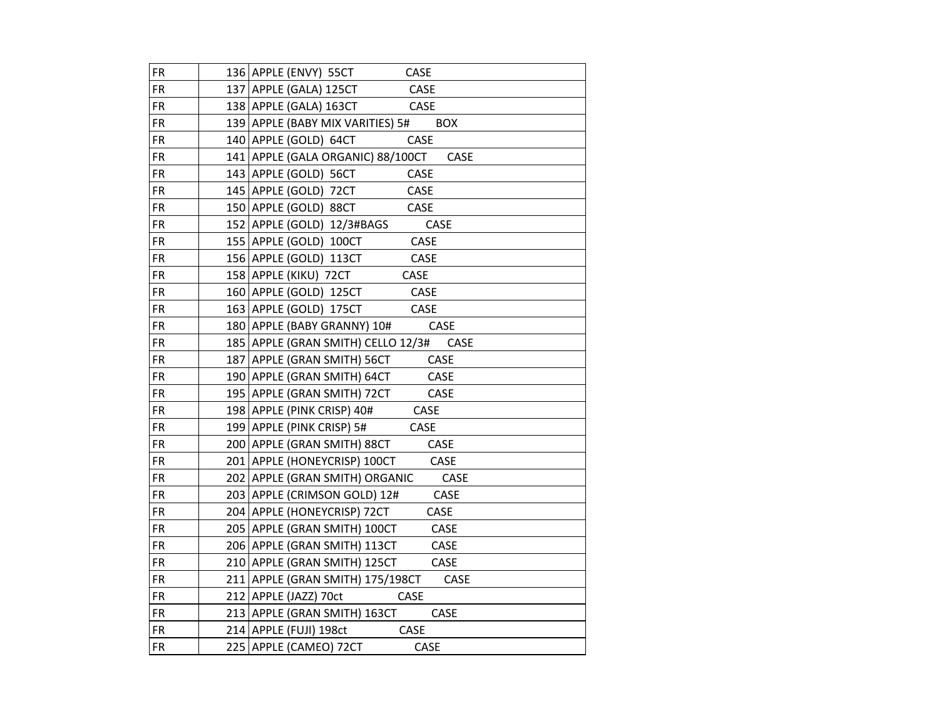| <b>FR</b> | 136 APPLE (ENVY) 55CT<br>CASE             |
|-----------|-------------------------------------------|
| FR        | 137 APPLE (GALA) 125CT<br>CASE            |
| <b>FR</b> | 138 APPLE (GALA) 163CT<br>CASE            |
| FR        | 139 APPLE (BABY MIX VARITIES) 5# BOX      |
| <b>FR</b> | CASE<br>140 APPLE (GOLD) 64CT             |
| <b>FR</b> | 141 APPLE (GALA ORGANIC) 88/100CT<br>CASE |
| <b>FR</b> | 143 APPLE (GOLD) 56CT<br>CASE             |
| <b>FR</b> | CASE<br>145 APPLE (GOLD) 72CT             |
| <b>FR</b> | 150 APPLE (GOLD) 88CT<br>CASE             |
| <b>FR</b> | CASE<br>152 APPLE (GOLD) 12/3#BAGS        |
| <b>FR</b> | 155 APPLE (GOLD) 100CT<br>CASE            |
| <b>FR</b> | 156 APPLE (GOLD) 113CT<br>CASE            |
| <b>FR</b> | 158 APPLE (KIKU) 72CT<br>CASE             |
| <b>FR</b> | 160 APPLE (GOLD) 125CT<br>CASE            |
| <b>FR</b> | 163 APPLE (GOLD) 175CT<br>CASE            |
| <b>FR</b> | 180 APPLE (BABY GRANNY) 10#<br>CASE       |
| <b>FR</b> | 185 APPLE (GRAN SMITH) CELLO 12/3# CASE   |
| <b>FR</b> | 187 APPLE (GRAN SMITH) 56CT<br>CASE       |
| <b>FR</b> | 190 APPLE (GRAN SMITH) 64CT<br>CASE       |
| <b>FR</b> | 195 APPLE (GRAN SMITH) 72CT<br>CASE       |
| FR        | <b>CASE</b><br>198 APPLE (PINK CRISP) 40# |
| <b>FR</b> | 199 APPLE (PINK CRISP) 5#<br>CASE         |
| <b>FR</b> | CASE<br>200 APPLE (GRAN SMITH) 88CT       |
| <b>FR</b> | CASE<br>201   APPLE (HONEYCRISP) 100CT    |
| <b>FR</b> | 202 APPLE (GRAN SMITH) ORGANIC<br>CASE    |
| <b>FR</b> | 203 APPLE (CRIMSON GOLD) 12#<br>CASE      |
| FR.       | 204 APPLE (HONEYCRISP) 72CT<br>CASE       |
| <b>FR</b> | 205 APPLE (GRAN SMITH) 100CT<br>CASE      |
| <b>FR</b> | 206 APPLE (GRAN SMITH) 113CT<br>CASE      |
| FR        | CASE<br>210 APPLE (GRAN SMITH) 125CT      |
| <b>FR</b> | 211   APPLE (GRAN SMITH) 175/198CT CASE   |
| FR        | 212 APPLE (JAZZ) 70ct<br><b>CASE</b>      |
| <b>FR</b> | 213 APPLE (GRAN SMITH) 163CT<br>CASE      |
| <b>FR</b> | 214 APPLE (FUJI) 198ct<br><b>CASE</b>     |
| <b>FR</b> | 225 APPLE (CAMEO) 72CT<br>CASE            |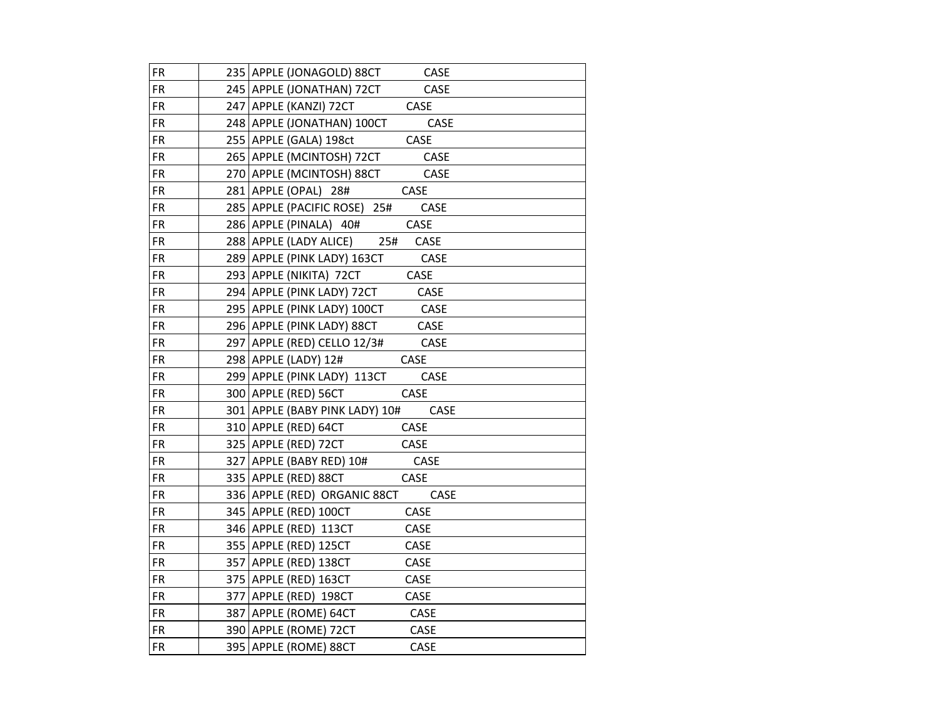| <b>FR</b> | 235 APPLE (JONAGOLD) 88CT<br>CASE          |
|-----------|--------------------------------------------|
| <b>FR</b> | CASE<br>245   APPLE (JONATHAN) 72CT        |
| <b>FR</b> | 247 APPLE (KANZI) 72CT<br><b>CASE</b>      |
| <b>FR</b> | CASE<br>248 APPLE (JONATHAN) 100CT         |
| <b>FR</b> | CASE<br>255 APPLE (GALA) 198ct             |
| <b>FR</b> | CASE<br>265 APPLE (MCINTOSH) 72CT          |
| FR.       | 270 APPLE (MCINTOSH) 88CT<br>CASE          |
| <b>FR</b> | CASE<br>281 APPLE (OPAL) 28#               |
| <b>FR</b> | 285 APPLE (PACIFIC ROSE) 25#<br>CASE       |
| <b>FR</b> | CASE<br>286 APPLE (PINALA) 40#             |
| <b>FR</b> | 288 APPLE (LADY ALICE) 25#<br>CASE         |
| <b>FR</b> | <b>CASE</b><br>289 APPLE (PINK LADY) 163CT |
| <b>FR</b> | 293 APPLE (NIKITA) 72CT<br>CASE            |
| <b>FR</b> | 294 APPLE (PINK LADY) 72CT<br>CASE         |
| <b>FR</b> | CASE<br>295 APPLE (PINK LADY) 100CT        |
| <b>FR</b> | 296 APPLE (PINK LADY) 88CT<br>CASE         |
| <b>FR</b> | 297 APPLE (RED) CELLO 12/3# CASE           |
| <b>FR</b> | 298 APPLE (LADY) 12#<br>CASE               |
| <b>FR</b> | 299 APPLE (PINK LADY) 113CT CASE           |
| <b>FR</b> | CASE<br>300 APPLE (RED) 56CT               |
| <b>FR</b> | 301 APPLE (BABY PINK LADY) 10#<br>CASE     |
| <b>FR</b> | CASE<br>310 APPLE (RED) 64CT               |
| <b>FR</b> | 325 APPLE (RED) 72CT<br>CASE               |
| <b>FR</b> | 327 APPLE (BABY RED) 10# CASE              |
| FR.       | CASE<br>335 APPLE (RED) 88CT               |
| <b>FR</b> | 336 APPLE (RED) ORGANIC 88CT<br>CASE       |
| <b>FR</b> | CASE<br>345 APPLE (RED) 100CT              |
| <b>FR</b> | 346 APPLE (RED) 113CT<br>CASE              |
| FR        | 355 APPLE (RED) 125CT<br>CASE              |
| <b>FR</b> | 357 APPLE (RED) 138CT<br>CASE              |
| FR        | 375   APPLE (RED) 163CT<br>CASE            |
| FR.       | 377 APPLE (RED) 198CT<br>CASE              |
| <b>FR</b> | 387 APPLE (ROME) 64CT<br>CASE              |
| <b>FR</b> | 390 APPLE (ROME) 72CT<br>CASE              |
| <b>FR</b> | 395 APPLE (ROME) 88CT<br>CASE              |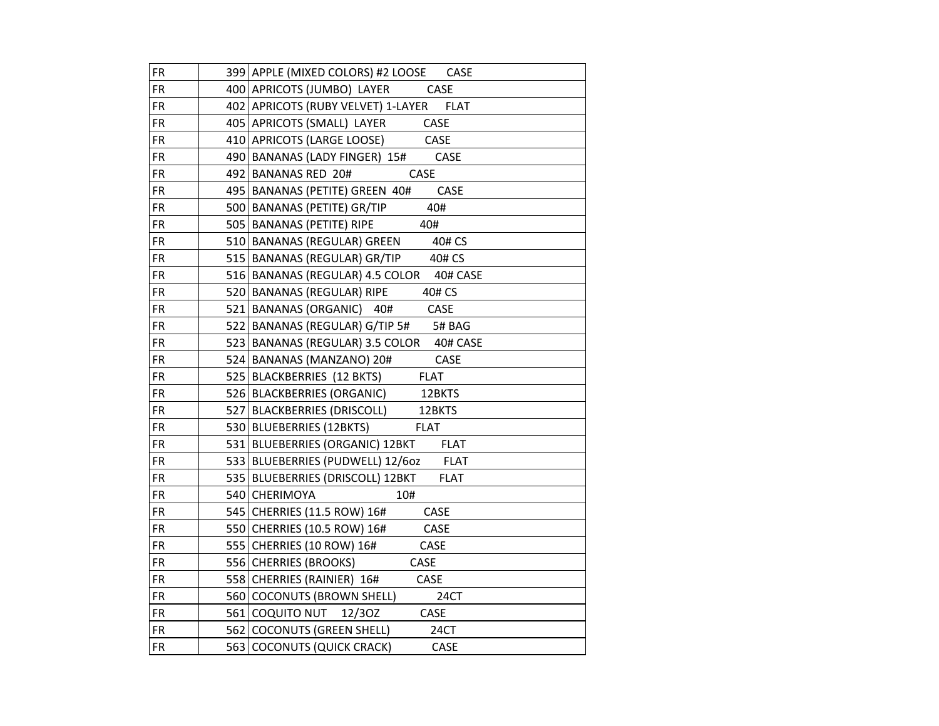| <b>FR</b> | 399 APPLE (MIXED COLORS) #2 LOOSE CASE            |
|-----------|---------------------------------------------------|
| <b>FR</b> | 400 APRICOTS (JUMBO) LAYER<br><b>CASE</b>         |
| <b>FR</b> | 402 APRICOTS (RUBY VELVET) 1-LAYER FLAT           |
| <b>FR</b> | 405 APRICOTS (SMALL) LAYER CASE                   |
| <b>FR</b> | 410 APRICOTS (LARGE LOOSE) CASE                   |
| <b>FR</b> | 490   BANANAS (LADY FINGER) 15# CASE              |
| <b>FR</b> | 492 BANANAS RED 20#<br>CASE                       |
| <b>FR</b> | 495   BANANAS (PETITE) GREEN 40#<br>CASE          |
| <b>FR</b> | 500   BANANAS (PETITE) GR/TIP<br>40#              |
| <b>FR</b> | 505   BANANAS (PETITE) RIPE<br>40#                |
| <b>FR</b> | 510 BANANAS (REGULAR) GREEN<br>40# CS             |
| <b>FR</b> | 515 BANANAS (REGULAR) GR/TIP 40# CS               |
| <b>FR</b> | 516   BANANAS (REGULAR) 4.5 COLOR 40# CASE        |
| <b>FR</b> | 520 BANANAS (REGULAR) RIPE 40# CS                 |
| FR        | 521 BANANAS (ORGANIC) 40# CASE                    |
| <b>FR</b> | 522   BANANAS (REGULAR) G/TIP 5# 5# BAG           |
| <b>FR</b> | 523   BANANAS (REGULAR) 3.5 COLOR 40# CASE        |
| <b>FR</b> | 524 BANANAS (MANZANO) 20#<br><b>CASE</b>          |
| <b>FR</b> | 525   BLACKBERRIES (12 BKTS)<br><b>FLAT</b>       |
| <b>FR</b> | 526   BLACKBERRIES (ORGANIC)<br>12BKTS            |
| <b>FR</b> | 527 BLACKBERRIES (DRISCOLL) 12BKTS                |
| <b>FR</b> | <b>FLAT</b><br>530 BLUEBERRIES (12BKTS)           |
| <b>FR</b> | 531 BLUEBERRIES (ORGANIC) 12BKT FLAT              |
| <b>FR</b> | 533 BLUEBERRIES (PUDWELL) 12/60Z FLAT             |
| <b>FR</b> | 535   BLUEBERRIES (DRISCOLL) 12BKT<br><b>FLAT</b> |
| <b>FR</b> | 540 CHERIMOYA<br>10#                              |
| <b>FR</b> | 545 CHERRIES (11.5 ROW) 16#<br><b>CASE</b>        |
| <b>FR</b> | 550 CHERRIES (10.5 ROW) 16#<br><b>CASE</b>        |
| <b>FR</b> | 555 CHERRIES (10 ROW) 16#<br>CASE                 |
| <b>FR</b> | 556 CHERRIES (BROOKS)<br>CASE                     |
| <b>FR</b> | 558 CHERRIES (RAINIER) 16#<br>CASE                |
| <b>FR</b> | 560 COCONUTS (BROWN SHELL)<br>24CT                |
| <b>FR</b> | 561 COQUITO NUT 12/30Z CASE                       |
| <b>FR</b> | 562 COCONUTS (GREEN SHELL)<br>24CT                |
| <b>FR</b> | 563 COCONUTS (QUICK CRACK)<br>CASE                |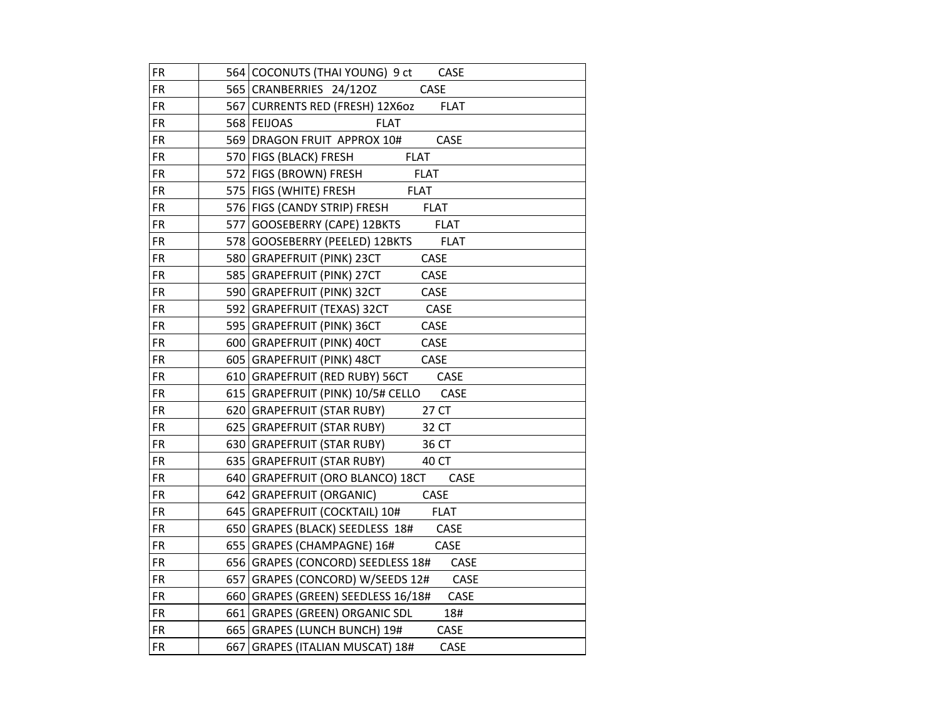| <b>FR</b>  | 564 COCONUTS (THAI YOUNG) 9 ct<br>CASE         |
|------------|------------------------------------------------|
| <b>FR</b>  | 565 CRANBERRIES 24/12OZ<br>CASE                |
| <b>FR</b>  | 567   CURRENTS RED (FRESH) 12X60Z FLAT         |
| <b>FR</b>  | 568 FEIJOAS<br><b>FLAT</b>                     |
| <b>FR</b>  | CASE<br>569 DRAGON FRUIT APPROX 10#            |
| <b>FR</b>  | 570 FIGS (BLACK) FRESH<br><b>FLAT</b>          |
| <b>FR</b>  | 572 FIGS (BROWN) FRESH<br><b>FLAT</b>          |
| <b>FR</b>  | 575   FIGS (WHITE) FRESH<br><b>FLAT</b>        |
| <b>FR</b>  | 576 FIGS (CANDY STRIP) FRESH<br><b>FLAT</b>    |
| <b>FR</b>  | 577 GOOSEBERRY (CAPE) 12BKTS<br><b>FLAT</b>    |
| <b>FR</b>  | 578 GOOSEBERRY (PEELED) 12BKTS<br><b>FLAT</b>  |
| ${\sf FR}$ | CASE<br>580 GRAPEFRUIT (PINK) 23CT             |
| <b>FR</b>  | CASE<br>585 GRAPEFRUIT (PINK) 27CT             |
| <b>FR</b>  | 590 GRAPEFRUIT (PINK) 32CT<br>CASE             |
| <b>FR</b>  | 592 GRAPEFRUIT (TEXAS) 32CT<br>CASE            |
| <b>FR</b>  | CASE<br>595 GRAPEFRUIT (PINK) 36CT             |
| <b>FR</b>  | 600 GRAPEFRUIT (PINK) 40CT<br>CASE             |
| <b>FR</b>  | 605 GRAPEFRUIT (PINK) 48CT<br>CASE             |
| <b>FR</b>  | 610   GRAPEFRUIT (RED RUBY) 56CT CASE          |
| <b>FR</b>  | 615   GRAPEFRUIT (PINK) 10/5# CELLO CASE       |
| <b>FR</b>  | 27 CT<br>620 GRAPEFRUIT (STAR RUBY)            |
| <b>FR</b>  | 625 GRAPEFRUIT (STAR RUBY)<br>32 CT            |
| <b>FR</b>  | 630 GRAPEFRUIT (STAR RUBY)<br>36 CT            |
| <b>FR</b>  | 635 GRAPEFRUIT (STAR RUBY)<br>40 CT            |
| <b>FR</b>  | 640 GRAPEFRUIT (ORO BLANCO) 18CT<br>CASE       |
| <b>FR</b>  | CASE<br>642 GRAPEFRUIT (ORGANIC)               |
| <b>FR</b>  | <b>FLAT</b><br>645   GRAPEFRUIT (COCKTAIL) 10# |
| <b>FR</b>  | CASE<br>650 GRAPES (BLACK) SEEDLESS 18#        |
| <b>FR</b>  | 655 GRAPES (CHAMPAGNE) 16#<br>CASE             |
| <b>FR</b>  | 656 GRAPES (CONCORD) SEEDLESS 18# CASE         |
| <b>FR</b>  | 657 GRAPES (CONCORD) W/SEEDS 12# CASE          |
| <b>FR</b>  | 660 GRAPES (GREEN) SEEDLESS 16/18# CASE        |
| <b>FR</b>  | 661 GRAPES (GREEN) ORGANIC SDL<br>18#          |
| <b>FR</b>  | 665 GRAPES (LUNCH BUNCH) 19#<br>CASE           |
| <b>FR</b>  | 667 GRAPES (ITALIAN MUSCAT) 18#<br>CASE        |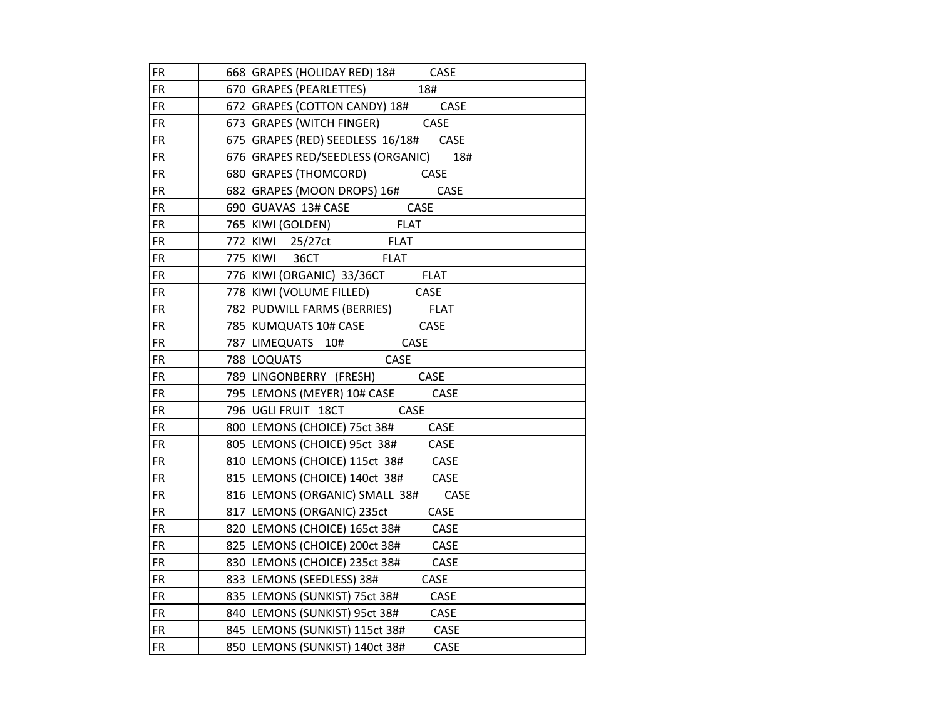| <b>FR</b>  | 668 GRAPES (HOLIDAY RED) 18# CASE        |
|------------|------------------------------------------|
| <b>FR</b>  | 670 GRAPES (PEARLETTES)<br>18#           |
| <b>FR</b>  | 672 GRAPES (COTTON CANDY) 18# CASE       |
| <b>FR</b>  | 673 GRAPES (WITCH FINGER) CASE           |
| <b>FR</b>  | 675 GRAPES (RED) SEEDLESS 16/18# CASE    |
| <b>FR</b>  | 676 GRAPES RED/SEEDLESS (ORGANIC)<br>18# |
| <b>FR</b>  | 680 GRAPES (THOMCORD) CASE               |
| <b>FR</b>  | 682 GRAPES (MOON DROPS) 16#<br>CASE      |
| <b>FR</b>  | CASE<br>690 GUAVAS 13# CASE              |
| <b>FR</b>  | 765   KIWI (GOLDEN)<br><b>FLAT</b>       |
| <b>FR</b>  | <b>FLAT</b><br>772 KIWI 25/27ct          |
| <b>FR</b>  | 775 KIWI 36CT<br><b>FLAT</b>             |
| <b>FR</b>  | 776 KIWI (ORGANIC) 33/36CT FLAT          |
| <b>FR</b>  | 778 KIWI (VOLUME FILLED) CASE            |
| <b>FR</b>  | 782   PUDWILL FARMS (BERRIES) FLAT       |
| <b>FR</b>  | 785 KUMQUATS 10# CASE<br><b>CASE</b>     |
| <b>FR</b>  | <b>CASE</b><br>787 LIMEQUATS 10#         |
| <b>FR</b>  | 788 LOQUATS<br>CASE                      |
| <b>FR</b>  | 789 LINGONBERRY (FRESH) CASE             |
| <b>FR</b>  | 795 LEMONS (MEYER) 10# CASE<br>CASE      |
| <b>FR</b>  | 796 UGLI FRUIT 18CT CASE                 |
| <b>FR</b>  | 800 LEMONS (CHOICE) 75ct 38#<br>CASE     |
| <b>FR</b>  | 805 LEMONS (CHOICE) 95ct 38#<br>CASE     |
| <b>FR</b>  | 810 LEMONS (CHOICE) 115ct 38# CASE       |
| <b>FR</b>  | 815 LEMONS (CHOICE) 140ct 38#<br>CASE    |
| <b>FR</b>  | CASE<br>816 LEMONS (ORGANIC) SMALL 38#   |
| <b>FR</b>  | CASE<br>817 LEMONS (ORGANIC) 235ct       |
| <b>FR</b>  | 820 LEMONS (CHOICE) 165ct 38#<br>CASE    |
| <b>FR</b>  | 825 LEMONS (CHOICE) 200ct 38#<br>CASE    |
| <b>FR</b>  | 830 LEMONS (CHOICE) 235ct 38#<br>CASE    |
| <b>FR</b>  | 833 LEMONS (SEEDLESS) 38#<br>CASE        |
| <b>FR</b>  | 835   LEMONS (SUNKIST) 75ct 38#<br>CASE  |
| <b>FR</b>  | CASE<br>840 LEMONS (SUNKIST) 95ct 38#    |
| <b>FR</b>  | 845   LEMONS (SUNKIST) 115ct 38#<br>CASE |
| ${\sf FR}$ | 850 LEMONS (SUNKIST) 140ct 38#<br>CASE   |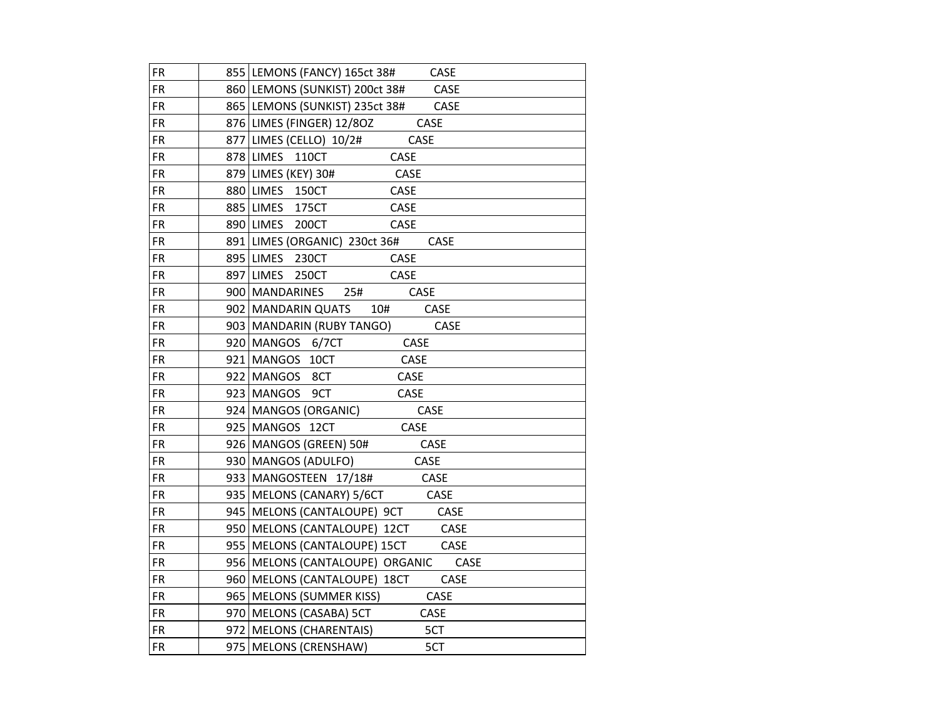| <b>FR</b> | 855 LEMONS (FANCY) 165ct 38#<br>CASE         |
|-----------|----------------------------------------------|
| FR.       | 860 LEMONS (SUNKIST) 200ct 38# CASE          |
| FR.       | 865 LEMONS (SUNKIST) 235ct 38# CASE          |
| FR.       | 876 LIMES (FINGER) 12/80Z<br>CASE            |
| FR.       | 877 LIMES (CELLO) 10/2#<br>CASE              |
| FR.       | 878 LIMES 110CT<br>CASE                      |
| <b>FR</b> | 879 LIMES (KEY) 30#<br>CASE                  |
| <b>FR</b> | 880 LIMES 150CT<br>CASE                      |
| <b>FR</b> | 885 LIMES 175CT<br>CASE                      |
| <b>FR</b> | 890 LIMES 200CT<br>CASE                      |
| <b>FR</b> | 891 LIMES (ORGANIC) 230ct 36#<br><b>CASE</b> |
| <b>FR</b> | 895 LIMES 230CT<br>CASE                      |
| <b>FR</b> | 897 LIMES 250CT<br>CASE                      |
| FR.       | 900   MANDARINES<br>25#<br>CASE              |
| <b>FR</b> | 902   MANDARIN QUATS<br>10#<br>CASE          |
| <b>FR</b> | 903   MANDARIN (RUBY TANGO)<br>CASE          |
| FR.       | 920 MANGOS 6/7CT<br>CASE                     |
| FR.       | 921 MANGOS 10CT<br>CASE                      |
| FR.       | 922 MANGOS 8CT<br>CASE                       |
| FR.       | 923 MANGOS 9CT<br>CASE                       |
| FR.       | 924   MANGOS (ORGANIC)<br>CASE               |
| <b>FR</b> | 925 MANGOS 12CT<br>CASE                      |
| <b>FR</b> | 926 MANGOS (GREEN) 50#<br>CASE               |
| <b>FR</b> | 930   MANGOS (ADULFO)<br>CASE                |
| <b>FR</b> | 933 MANGOSTEEN 17/18#<br>CASE                |
| <b>FR</b> | 935   MELONS (CANARY) 5/6CT<br><b>CASE</b>   |
| <b>FR</b> | 945   MELONS (CANTALOUPE) 9CT<br>CASE        |
| <b>FR</b> | 950 MELONS (CANTALOUPE) 12CT<br>CASE         |
| FR.       | 955   MELONS (CANTALOUPE) 15CT<br>CASE       |
| <b>FR</b> | CASE<br>956 MELONS (CANTALOUPE) ORGANIC      |
| <b>FR</b> | CASE<br>960   MELONS (CANTALOUPE) 18CT       |
| FR        | CASE<br>965   MELONS (SUMMER KISS)           |
| <b>FR</b> | 970 MELONS (CASABA) 5CT<br>CASE              |
| <b>FR</b> | 972 MELONS (CHARENTAIS)<br>5CT               |
| <b>FR</b> | 975   MELONS (CRENSHAW)<br>5CT               |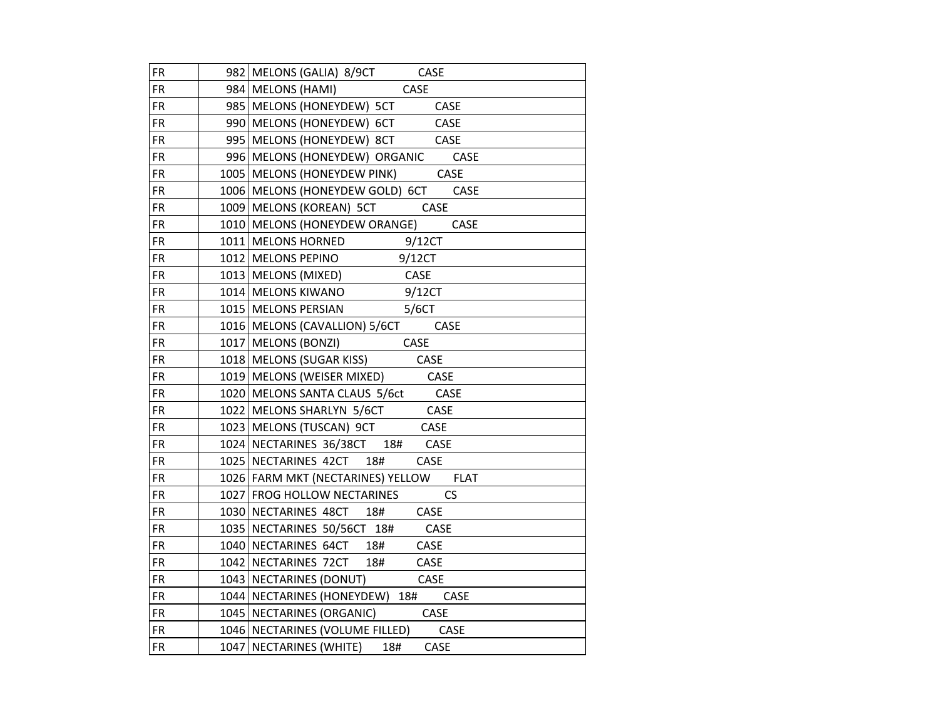| <b>FR</b>  | 982 MELONS (GALIA) 8/9CT CASE                                        |
|------------|----------------------------------------------------------------------|
| <b>FR</b>  | 984   MELONS (HAMI) CASE                                             |
| <b>FR</b>  | 985   MELONS (HONEYDEW) 5CT CASE                                     |
| ${\sf FR}$ | 990 MELONS (HONEYDEW) 6CT CASE                                       |
| <b>FR</b>  | 995 MELONS (HONEYDEW) 8CT CASE                                       |
| <b>FR</b>  | 996 MELONS (HONEYDEW) ORGANIC CASE                                   |
| <b>FR</b>  | 1005   MELONS (HONEYDEW PINK) CASE                                   |
| <b>FR</b>  | 1006 MELONS (HONEYDEW GOLD) 6CT CASE                                 |
| <b>FR</b>  | 1009   MELONS (KOREAN) 5CT CASE                                      |
| FR.        | 1010   MELONS (HONEYDEW ORANGE) CASE                                 |
| <b>FR</b>  | 1011 MELONS HORNED 9/12CT                                            |
| <b>FR</b>  | 1012 MELONS PEPINO 9/12CT                                            |
| <b>FR</b>  | 1013 MELONS (MIXED) CASE<br>1014 MELONS KIWANO 9/12CT                |
| <b>FR</b>  |                                                                      |
| <b>FR</b>  | 1015 MELONS PERSIAN 5/6CT                                            |
| <b>FR</b>  | 1016   MELONS (CAVALLION) 5/6CT CASE                                 |
| <b>FR</b>  | 1017   MELONS (BONZI) CASE                                           |
| <b>FR</b>  | 1018 MELONS (SUGAR KISS) CASE                                        |
| <b>FR</b>  | 1019 MELONS (WEISER MIXED) CASE                                      |
| <b>FR</b>  | 1020 MELONS SANTA CLAUS 5/6ct CASE<br>1022 MELONS SHARLYN 5/6CT CASE |
| <b>FR</b>  |                                                                      |
| <b>FR</b>  | 1023   MELONS (TUSCAN) 9CT CASE                                      |
| <b>FR</b>  | 1024 NECTARINES 36/38CT 18# CASE                                     |
| <b>FR</b>  | 1025 NECTARINES 42CT 18#<br>CASE                                     |
| <b>FR</b>  | 1026 FARM MKT (NECTARINES) YELLOW FLAT                               |
| <b>FR</b>  | 1027 FROG HOLLOW NECTARINES CS                                       |
| <b>FR</b>  | 1030 NECTARINES 48CT 18# CASE                                        |
| <b>FR</b>  | 1035 NECTARINES 50/56CT 18# CASE                                     |
| <b>FR</b>  | 1040 NECTARINES 64CT 18# CASE                                        |
| <b>FR</b>  | 1042 NECTARINES 72CT 18# CASE                                        |
| <b>FR</b>  | 1043 NECTARINES (DONUT) CASE                                         |
| <b>FR</b>  | 1044 NECTARINES (HONEYDEW) 18# CASE                                  |
| <b>FR</b>  | 1045 NECTARINES (ORGANIC) CASE                                       |
| <b>FR</b>  | 1046 NECTARINES (VOLUME FILLED) CASE                                 |
| <b>FR</b>  | 1047 NECTARINES (WHITE) 18#<br>CASE                                  |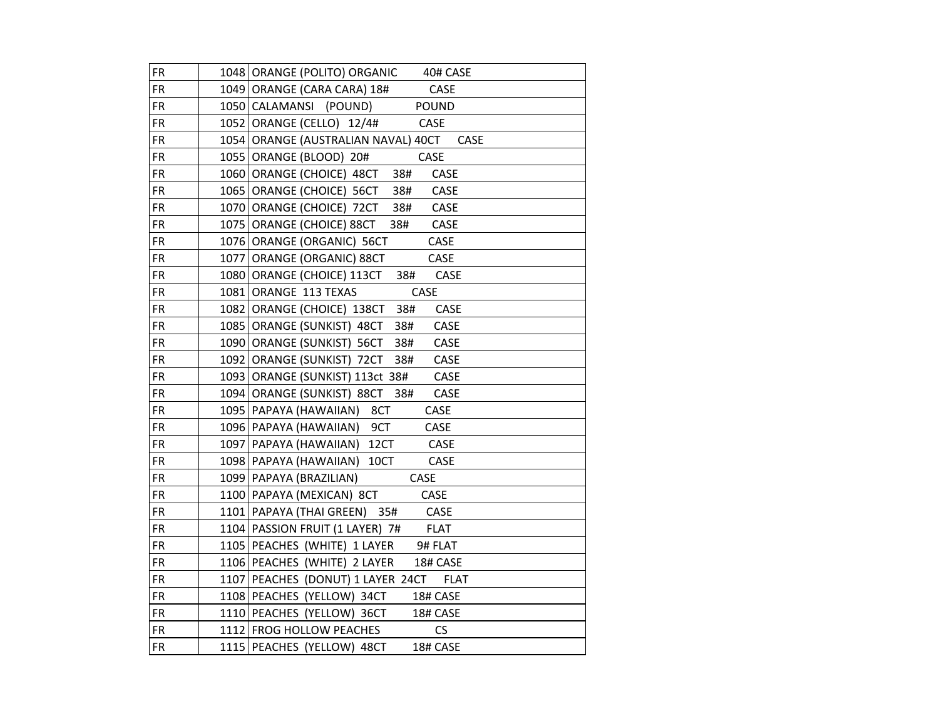| <b>FR</b> | 1048 ORANGE (POLITO) ORGANIC 40# CASE            |
|-----------|--------------------------------------------------|
| <b>FR</b> | CASE<br>1049   ORANGE (CARA CARA) 18#            |
| <b>FR</b> | 1050 CALAMANSI (POUND)<br><b>POUND</b>           |
| <b>FR</b> | 1052 ORANGE (CELLO) 12/4#<br>CASE                |
| FR.       | 1054   ORANGE (AUSTRALIAN NAVAL) 40CT<br>CASE    |
| <b>FR</b> | 1055 ORANGE (BLOOD) 20#<br>CASE                  |
| <b>FR</b> | CASE<br>1060 ORANGE (CHOICE) 48CT 38#            |
| <b>FR</b> | 1065   ORANGE (CHOICE) 56CT<br>38#<br>CASE       |
| <b>FR</b> | 38#<br>CASE<br>1070 ORANGE (CHOICE) 72CT         |
| <b>FR</b> | 1075 ORANGE (CHOICE) 88CT<br>38#<br>CASE         |
| <b>FR</b> | 1076   ORANGE (ORGANIC) 56CT<br>CASE             |
| <b>FR</b> | 1077   ORANGE (ORGANIC) 88CT<br>CASE             |
| <b>FR</b> | 1080 ORANGE (CHOICE) 113CT 38#<br>CASE           |
| <b>FR</b> | 1081 ORANGE 113 TEXAS<br>CASE                    |
| <b>FR</b> | 1082 ORANGE (CHOICE) 138CT 38#<br>CASE           |
| <b>FR</b> | 1085   ORANGE (SUNKIST) 48CT<br>38#<br>CASE      |
| <b>FR</b> | 1090 ORANGE (SUNKIST) 56CT<br>38#<br>CASE        |
| FR.       | 38#<br>1092 ORANGE (SUNKIST) 72CT<br>CASE        |
| <b>FR</b> | CASE<br>1093 ORANGE (SUNKIST) 113ct 38#          |
| <b>FR</b> | 1094   ORANGE (SUNKIST) 88CT 38#<br>CASE         |
| <b>FR</b> | 1095   PAPAYA (HAWAIIAN) 8CT<br>CASE             |
| <b>FR</b> | 1096 PAPAYA (HAWAIIAN) 9CT<br>CASE               |
| <b>FR</b> | 1097   PAPAYA (HAWAIIAN) 12CT<br>CASE            |
| <b>FR</b> | 1098   PAPAYA (HAWAIIAN) 10CT<br>CASE            |
| <b>FR</b> | <b>CASE</b><br>1099   PAPAYA (BRAZILIAN)         |
| <b>FR</b> | 1100   PAPAYA (MEXICAN) 8CT<br>CASE              |
| <b>FR</b> | 1101 PAPAYA (THAI GREEN) 35# CASE                |
| <b>FR</b> | <b>FLAT</b><br>1104   PASSION FRUIT (1 LAYER) 7# |
| <b>FR</b> | 1105   PEACHES (WHITE) 1 LAYER<br>9# FLAT        |
| <b>FR</b> | 1106 PEACHES (WHITE) 2 LAYER<br>18# CASE         |
| <b>FR</b> | 1107 PEACHES (DONUT) 1 LAYER 24CT FLAT           |
| <b>FR</b> | 1108 PEACHES (YELLOW) 34CT<br>18# CASE           |
| <b>FR</b> | 1110 PEACHES (YELLOW) 36CT<br>18# CASE           |
| <b>FR</b> | 1112 FROG HOLLOW PEACHES<br><b>CS</b>            |
| <b>FR</b> | 1115 PEACHES (YELLOW) 48CT<br>18# CASE           |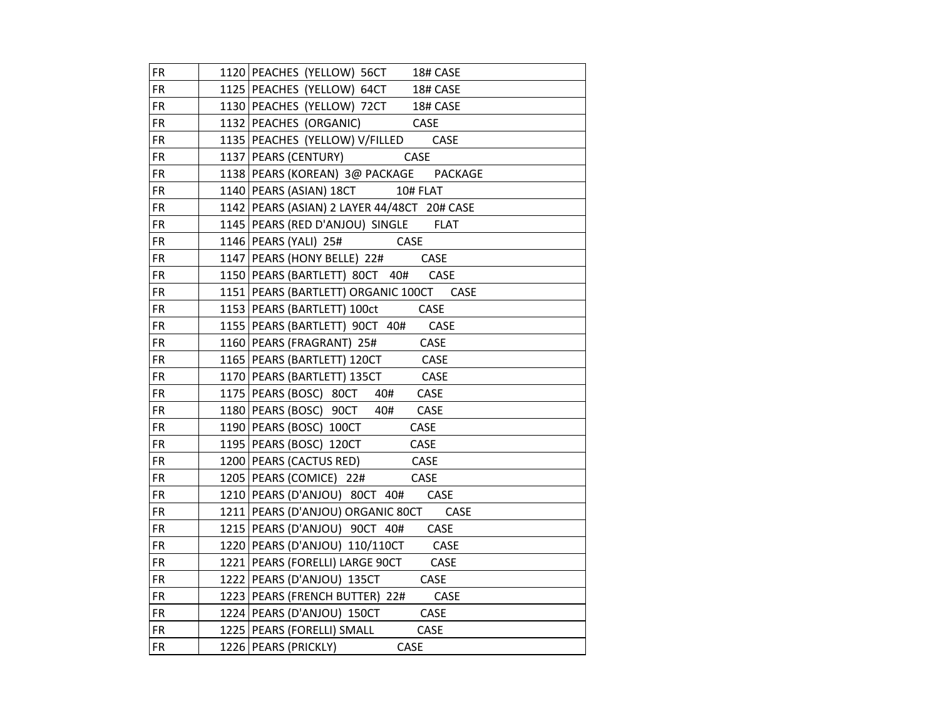| <b>FR</b>  | 1120 PEACHES (YELLOW) 56CT 18# CASE           |
|------------|-----------------------------------------------|
| <b>FR</b>  | 1125   PEACHES (YELLOW) 64CT<br>18# CASE      |
| FR.        | 1130 PEACHES (YELLOW) 72CT 18# CASE           |
| <b>FR</b>  | 1132 PEACHES (ORGANIC) CASE                   |
| <b>FR</b>  | 1135   PEACHES (YELLOW) V/FILLED CASE         |
| FR.        | 1137 PEARS (CENTURY)<br>CASE                  |
| <b>FR</b>  | 1138 PEARS (KOREAN) 3@ PACKAGE PACKAGE        |
| FR         | 1140   PEARS (ASIAN) 18CT 10# FLAT            |
| <b>FR</b>  | 1142 PEARS (ASIAN) 2 LAYER 44/48CT 20# CASE   |
| FR.        | 1145   PEARS (RED D'ANJOU) SINGLE FLAT        |
| FR.        | 1146 PEARS (YALI) 25# CASE                    |
| FR.        | 1147 PEARS (HONY BELLE) 22#<br>CASE           |
| FR.        | 1150   PEARS (BARTLETT) 80CT 40# CASE         |
| <b>FR</b>  | 1151   PEARS (BARTLETT) ORGANIC 100CT CASE    |
| <b>FR</b>  | 1153   PEARS (BARTLETT) 100ct<br>CASE         |
| <b>FR</b>  | 1155 PEARS (BARTLETT) 90CT 40#<br>CASE        |
| FR.        | 1160 PEARS (FRAGRANT) 25#<br>CASE             |
| FR.        | 1165 PEARS (BARTLETT) 120CT<br><b>CASE</b>    |
| <b>FR</b>  | 1170 PEARS (BARTLETT) 135CT<br>CASE           |
| ${\sf FR}$ | 1175   PEARS (BOSC) 80CT 40#<br>CASE          |
| <b>FR</b>  | 1180 PEARS (BOSC) 90CT 40# CASE               |
| <b>FR</b>  | 1190 PEARS (BOSC) 100CT<br>CASE               |
| <b>FR</b>  | 1195   PEARS (BOSC) 120CT<br>CASE             |
| <b>FR</b>  | 1200   PEARS (CACTUS RED)<br>CASE             |
| FR.        | 1205 PEARS (COMICE) 22#<br>CASE               |
| FR         | 1210 PEARS (D'ANJOU) 80CT 40# CASE            |
| <b>FR</b>  | 1211   PEARS (D'ANJOU) ORGANIC 80CT CASE      |
| <b>FR</b>  | CASE<br>1215 PEARS (D'ANJOU) 90CT 40#         |
| <b>FR</b>  | 1220 PEARS (D'ANJOU) 110/110CT<br><b>CASE</b> |
| <b>FR</b>  | 1221 PEARS (FORELLI) LARGE 90CT<br>CASE       |
| <b>FR</b>  | 1222 PEARS (D'ANJOU) 135CT<br>CASE            |
| FR.        | 1223 PEARS (FRENCH BUTTER) 22# CASE           |
| <b>FR</b>  | 1224 PEARS (D'ANJOU) 150CT CASE               |
| <b>FR</b>  | 1225   PEARS (FORELLI) SMALL<br>CASE          |
| <b>FR</b>  | 1226   PEARS (PRICKLY)<br>CASE                |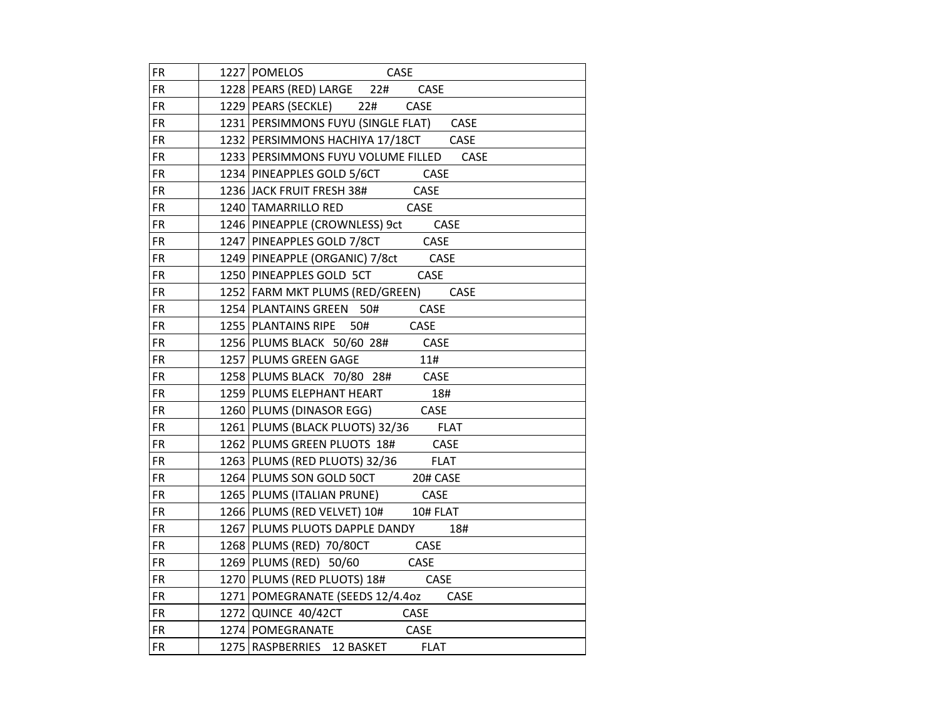| <b>FR</b> | 1227 POMELOS<br>CASE                                                 |
|-----------|----------------------------------------------------------------------|
| <b>FR</b> | 1228 PEARS (RED) LARGE 22# CASE                                      |
| <b>FR</b> | 1229 PEARS (SECKLE) 22# CASE                                         |
| <b>FR</b> | 1231 PERSIMMONS FUYU (SINGLE FLAT) CASE                              |
| FR        | 1232 PERSIMMONS HACHIYA 17/18CT CASE                                 |
| <b>FR</b> | 1233 PERSIMMONS FUYU VOLUME FILLED CASE                              |
| <b>FR</b> | 1234 PINEAPPLES GOLD 5/6CT CASE                                      |
| <b>FR</b> | 1236 JACK FRUIT FRESH 38# CASE                                       |
| <b>FR</b> | 1240 TAMARRILLO RED<br>CASE                                          |
| <b>FR</b> | 1246 PINEAPPLE (CROWNLESS) 9ct CASE                                  |
| <b>FR</b> | 1247 PINEAPPLES GOLD 7/8CT CASE                                      |
| <b>FR</b> | 1249 PINEAPPLE (ORGANIC) 7/8ct CASE<br>1250 PINEAPPLES GOLD 5CT CASE |
| <b>FR</b> |                                                                      |
| <b>FR</b> | 1252 FARM MKT PLUMS (RED/GREEN) CASE                                 |
| <b>FR</b> | 1254 PLANTAINS GREEN 50# CASE                                        |
| <b>FR</b> | 1255 PLANTAINS RIPE 50# CASE                                         |
| <b>FR</b> | 1256 PLUMS BLACK 50/60 28# CASE                                      |
| <b>FR</b> | 1257 PLUMS GREEN GAGE<br>11#                                         |
| <b>FR</b> | 1258 PLUMS BLACK 70/80 28# CASE                                      |
| <b>FR</b> | 1259 PLUMS ELEPHANT HEART 18#<br>1260 PLUMS (DINASOR EGG) CASE       |
| <b>FR</b> |                                                                      |
| <b>FR</b> | 1261 PLUMS (BLACK PLUOTS) 32/36 FLAT                                 |
| <b>FR</b> | 1262 PLUMS GREEN PLUOTS 18# CASE                                     |
| <b>FR</b> | 1263 PLUMS (RED PLUOTS) 32/36 FLAT                                   |
| <b>FR</b> | 1264 PLUMS SON GOLD 50CT 20# CASE                                    |
| <b>FR</b> | 1265 PLUMS (ITALIAN PRUNE) CASE                                      |
| <b>FR</b> | 1266 PLUMS (RED VELVET) 10# 10# FLAT                                 |
| <b>FR</b> | 1267 PLUMS PLUOTS DAPPLE DANDY 18#                                   |
| <b>FR</b> | 1268 PLUMS (RED) 70/80CT CASE                                        |
| <b>FR</b> | 1269 PLUMS (RED) 50/60 CASE                                          |
| <b>FR</b> | 1270 PLUMS (RED PLUOTS) 18# CASE                                     |
| <b>FR</b> | 1271 POMEGRANATE (SEEDS 12/4.4oz CASE                                |
| <b>FR</b> | 1272 QUINCE 40/42CT CASE                                             |
| <b>FR</b> | 1274 POMEGRANATE CASE                                                |
| <b>FR</b> | 1275 RASPBERRIES 12 BASKET FLAT                                      |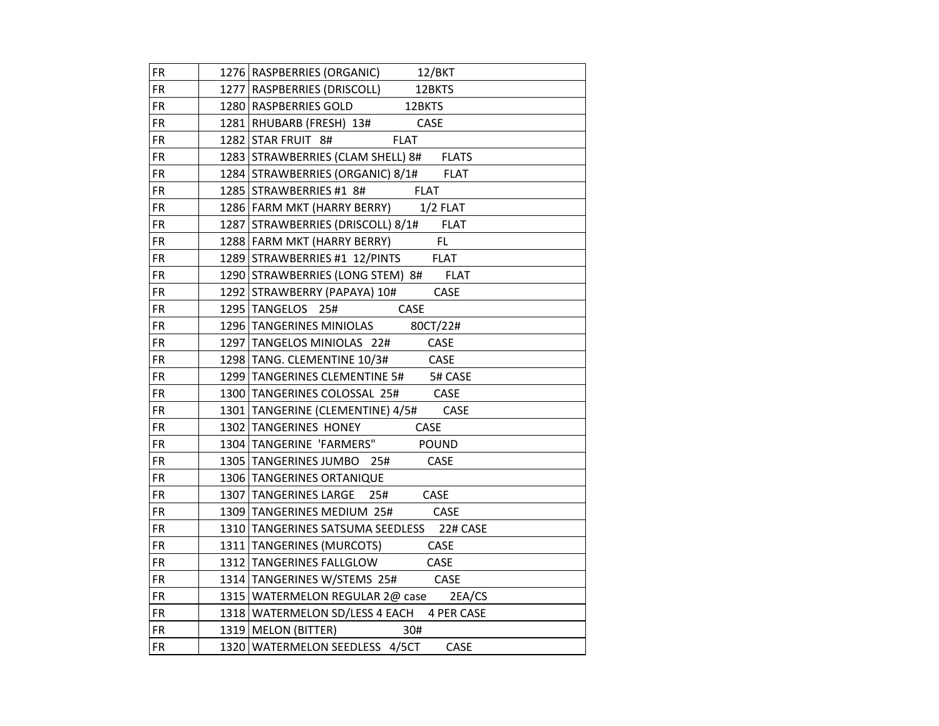| <b>FR</b> | 1276 RASPBERRIES (ORGANIC) 12/BKT                 |
|-----------|---------------------------------------------------|
| FR.       | 1277   RASPBERRIES (DRISCOLL)<br>12BKTS           |
| FR.       | 1280 RASPBERRIES GOLD 12BKTS                      |
| FR.       | 1281 RHUBARB (FRESH) 13# CASE                     |
| <b>FR</b> | 1282 STAR FRUIT 8# FLAT                           |
| FR.       | 1283 STRAWBERRIES (CLAM SHELL) 8#<br><b>FLATS</b> |
| <b>FR</b> | 1284 STRAWBERRIES (ORGANIC) 8/1# FLAT             |
| <b>FR</b> | 1285 STRAWBERRIES #1 8# FLAT                      |
| FR.       | 1286 FARM MKT (HARRY BERRY) 1/2 FLAT              |
| FR.       | 1287 STRAWBERRIES (DRISCOLL) 8/1# FLAT            |
| <b>FR</b> | 1288 FARM MKT (HARRY BERRY)<br>FL.                |
| <b>FR</b> | 1289 STRAWBERRIES #1 12/PINTS FLAT                |
| <b>FR</b> | 1290 STRAWBERRIES (LONG STEM) 8# FLAT             |
| <b>FR</b> | 1292 STRAWBERRY (PAPAYA) 10# CASE                 |
| <b>FR</b> | 1295 TANGELOS 25# CASE                            |
| <b>FR</b> | 1296 TANGERINES MINIOLAS 80CT/22#                 |
| FR.       | 1297 TANGELOS MINIOLAS 22# CASE                   |
| FR.       | 1298 TANG. CLEMENTINE 10/3# CASE                  |
| FR.       | 1299 TANGERINES CLEMENTINE 5# 5# CASE             |
| <b>FR</b> | 1300 TANGERINES COLOSSAL 25# CASE                 |
| <b>FR</b> | 1301   TANGERINE (CLEMENTINE) 4/5# CASE           |
| <b>FR</b> | 1302 TANGERINES HONEY<br>CASE                     |
| <b>FR</b> | 1304 TANGERINE 'FARMERS" POUND                    |
| <b>FR</b> | CASE<br>1305 TANGERINES JUMBO 25#                 |
| FR.       | 1306 TANGERINES ORTANIQUE                         |
| <b>FR</b> | 1307 TANGERINES LARGE 25#<br>CASE                 |
| FR.       | 1309 TANGERINES MEDIUM 25# CASE                   |
| FR.       | 1310 TANGERINES SATSUMA SEEDLESS 22# CASE         |
| <b>FR</b> | 1311   TANGERINES (MURCOTS) CASE                  |
| <b>FR</b> | 1312 TANGERINES FALLGLOW CASE                     |
| <b>FR</b> | 1314 TANGERINES W/STEMS 25# CASE                  |
| FR        | 1315   WATERMELON REGULAR 2@ case 2EA/CS          |
| <b>FR</b> | 1318 WATERMELON SD/LESS 4 EACH 4 PER CASE         |
| <b>FR</b> | 1319   MELON (BITTER) 30#                         |
| <b>FR</b> | 1320 WATERMELON SEEDLESS 4/5CT<br>CASE            |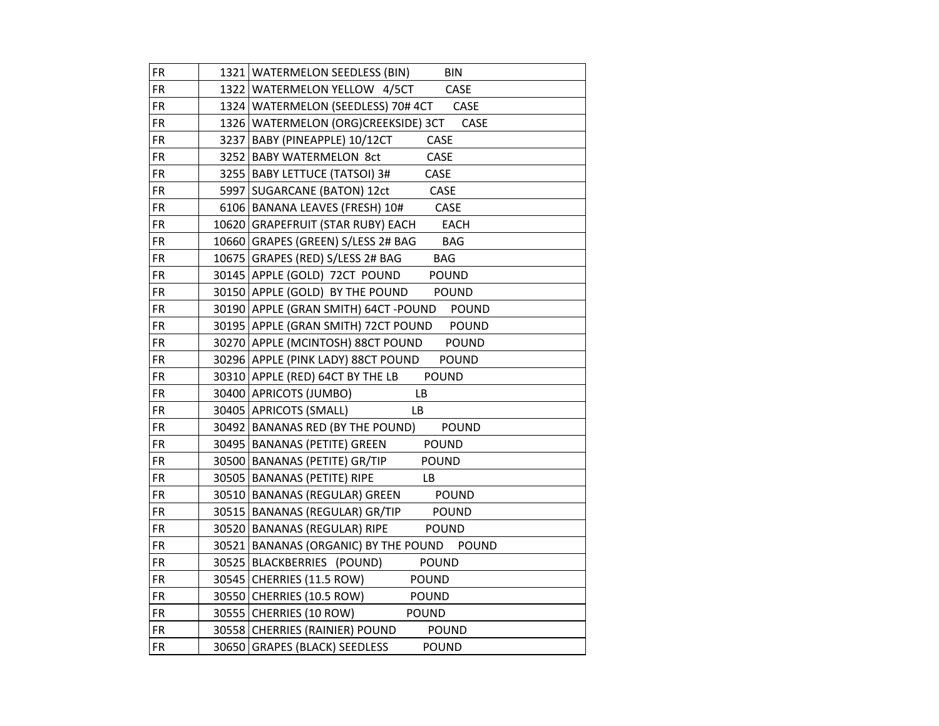| <b>FR</b> | 1321   WATERMELON SEEDLESS (BIN)<br><b>BIN</b>      |
|-----------|-----------------------------------------------------|
| FR        | 1322 WATERMELON YELLOW 4/5CT<br>CASE                |
| FR.       | 1324 WATERMELON (SEEDLESS) 70# 4CT CASE             |
| <b>FR</b> | 1326   WATERMELON (ORG)CREEKSIDE) 3CT CASE          |
| FR.       | 3237 BABY (PINEAPPLE) 10/12CT<br>CASE               |
| <b>FR</b> | CASE<br>3252 BABY WATERMELON 8ct                    |
| <b>FR</b> | 3255 BABY LETTUCE (TATSOI) 3#<br>CASE               |
| <b>FR</b> | 5997   SUGARCANE (BATON) 12ct<br>CASE               |
| <b>FR</b> | CASE<br>6106   BANANA LEAVES (FRESH) 10#            |
| FR        | 10620 GRAPEFRUIT (STAR RUBY) EACH<br>EACH           |
| <b>FR</b> | 10660 GRAPES (GREEN) S/LESS 2# BAG<br><b>BAG</b>    |
| <b>FR</b> | 10675 GRAPES (RED) S/LESS 2# BAG<br><b>BAG</b>      |
| FR.       | 30145 APPLE (GOLD) 72CT POUND<br><b>POUND</b>       |
| <b>FR</b> | 30150 APPLE (GOLD) BY THE POUND<br><b>POUND</b>     |
| <b>FR</b> | 30190 APPLE (GRAN SMITH) 64CT - POUND POUND         |
| <b>FR</b> | 30195 APPLE (GRAN SMITH) 72CT POUND<br><b>POUND</b> |
| FR        | 30270 APPLE (MCINTOSH) 88CT POUND<br><b>POUND</b>   |
| <b>FR</b> | 30296 APPLE (PINK LADY) 88CT POUND<br><b>POUND</b>  |
| <b>FR</b> | 30310 APPLE (RED) 64CT BY THE LB<br><b>POUND</b>    |
| <b>FR</b> | 30400 APRICOTS (JUMBO)<br>LB                        |
| <b>FR</b> | 30405   APRICOTS (SMALL)<br>LB.                     |
| <b>FR</b> | 30492 BANANAS RED (BY THE POUND)<br><b>POUND</b>    |
| <b>FR</b> | <b>POUND</b><br>30495   BANANAS (PETITE) GREEN      |
| <b>FR</b> | 30500 BANANAS (PETITE) GR/TIP<br><b>POUND</b>       |
| FR        | 30505   BANANAS (PETITE) RIPE<br>LB                 |
| <b>FR</b> | 30510 BANANAS (REGULAR) GREEN<br><b>POUND</b>       |
| <b>FR</b> | 30515 BANANAS (REGULAR) GR/TIP POUND                |
| FR.       | 30520 BANANAS (REGULAR) RIPE<br><b>POUND</b>        |
| <b>FR</b> | 30521 BANANAS (ORGANIC) BY THE POUND POUND          |
| <b>FR</b> | 30525 BLACKBERRIES (POUND)<br><b>POUND</b>          |
| <b>FR</b> | 30545 CHERRIES (11.5 ROW)<br><b>POUND</b>           |
| FR        | 30550 CHERRIES (10.5 ROW)<br><b>POUND</b>           |
| <b>FR</b> | 30555 CHERRIES (10 ROW)<br>POUND                    |
| <b>FR</b> | 30558 CHERRIES (RAINIER) POUND<br><b>POUND</b>      |
| <b>FR</b> | 30650 GRAPES (BLACK) SEEDLESS<br><b>POUND</b>       |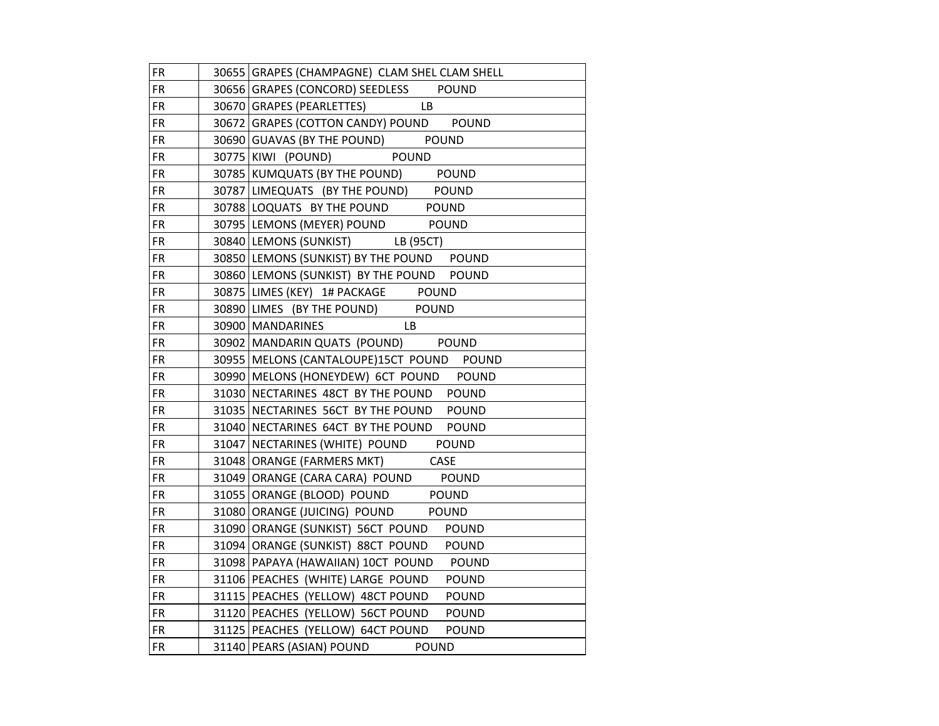| <b>FR</b> | 30655 GRAPES (CHAMPAGNE) CLAM SHEL CLAM SHELL  |
|-----------|------------------------------------------------|
| <b>FR</b> | 30656 GRAPES (CONCORD) SEEDLESS POUND          |
| FR.       | 30670 GRAPES (PEARLETTES)<br>LB.               |
| FR.       | 30672 GRAPES (COTTON CANDY) POUND POUND        |
| FR.       | 30690 GUAVAS (BY THE POUND) POUND              |
| <b>FR</b> | 30775 KIWI (POUND) POUND                       |
| <b>FR</b> | 30785 KUMQUATS (BY THE POUND) POUND            |
| <b>FR</b> | 30787 LIMEQUATS (BY THE POUND) POUND           |
| <b>FR</b> | 30788 LOQUATS BY THE POUND POUND               |
| FR.       | 30795 LEMONS (MEYER) POUND POUND               |
| FR.       | 30840 LEMONS (SUNKIST) LB (95CT)               |
| FR.       | 30850 LEMONS (SUNKIST) BY THE POUND POUND      |
| FR.       | 30860 LEMONS (SUNKIST) BY THE POUND POUND      |
| FR.       | 30875 LIMES (KEY) 1# PACKAGE POUND             |
| <b>FR</b> | 30890 LIMES (BY THE POUND) POUND               |
| <b>FR</b> | 30900 MANDARINES<br>LB.                        |
| FR.       | 30902   MANDARIN QUATS (POUND)<br><b>POUND</b> |
| FR.       | 30955 MELONS (CANTALOUPE)15CT POUND POUND      |
| FR.       | 30990 MELONS (HONEYDEW) 6CT POUND POUND        |
| FR.       | 31030 NECTARINES 48CT BY THE POUND POUND       |
| FR.       | 31035 NECTARINES 56CT BY THE POUND POUND       |
| FR        | 31040 NECTARINES 64CT BY THE POUND POUND       |
| <b>FR</b> | 31047 NECTARINES (WHITE) POUND<br><b>POUND</b> |
| FR.       | 31048 ORANGE (FARMERS MKT)<br>CASE             |
| FR.       | 31049 ORANGE (CARA CARA) POUND<br><b>POUND</b> |
| FR.       | 31055 ORANGE (BLOOD) POUND POUND               |
| <b>FR</b> | 31080 ORANGE (JUICING) POUND POUND             |
| FR.       | 31090 ORANGE (SUNKIST) 56CT POUND POUND        |
| FR.       | 31094 ORANGE (SUNKIST) 88CT POUND POUND        |
| <b>FR</b> | 31098 PAPAYA (HAWAIIAN) 10CT POUND POUND       |
| <b>FR</b> | 31106 PEACHES (WHITE) LARGE POUND POUND        |
| FR.       | 31115 PEACHES (YELLOW) 48CT POUND POUND        |
| FR.       | 31120 PEACHES (YELLOW) 56CT POUND POUND        |
| <b>FR</b> | 31125 PEACHES (YELLOW) 64CT POUND POUND        |
| <b>FR</b> | 31140   PEARS (ASIAN) POUND POUND              |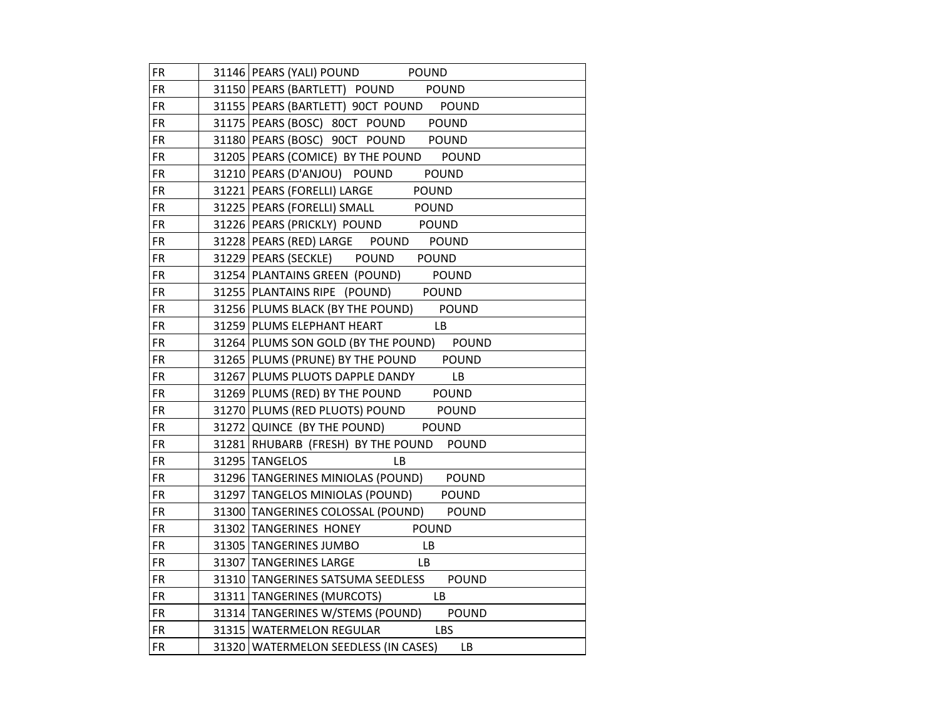| <b>FR</b>  | 31146 PEARS (YALI) POUND POUND                    |
|------------|---------------------------------------------------|
| <b>FR</b>  | 31150 PEARS (BARTLETT) POUND POUND                |
| FR.        | 31155 PEARS (BARTLETT) 90CT POUND POUND           |
| FR.        | 31175 PEARS (BOSC) 80CT POUND POUND               |
| FR.        | 31180 PEARS (BOSC) 90CT POUND POUND               |
| FR.        | 31205 PEARS (COMICE) BY THE POUND POUND           |
| <b>FR</b>  | 31210 PEARS (D'ANJOU) POUND<br><b>POUND</b>       |
| <b>FR</b>  | 31221   PEARS (FORELLI) LARGE<br>POUND            |
| <b>FR</b>  | 31225 PEARS (FORELLI) SMALL<br><b>POUND</b>       |
| FR.        | 31226 PEARS (PRICKLY) POUND POUND                 |
| FR.        | 31228 PEARS (RED) LARGE POUND<br><b>POUND</b>     |
| FR.        | 31229 PEARS (SECKLE) POUND POUND                  |
| FR.        | 31254 PLANTAINS GREEN (POUND) POUND               |
| FR.        | 31255 PLANTAINS RIPE (POUND) POUND                |
| FR         | 31256 PLUMS BLACK (BY THE POUND) POUND            |
| <b>FR</b>  | 31259 PLUMS ELEPHANT HEART<br>LB.                 |
| FR.        | 31264 PLUMS SON GOLD (BY THE POUND) POUND         |
| FR.        | 31265 PLUMS (PRUNE) BY THE POUND POUND            |
| FR.        | 31267 PLUMS PLUOTS DAPPLE DANDY<br>LB             |
| <b>FR</b>  | 31269 PLUMS (RED) BY THE POUND POUND              |
| FR.        | 31270 PLUMS (RED PLUOTS) POUND POUND              |
| <b>FR</b>  | 31272 QUINCE (BY THE POUND) POUND                 |
| <b>FR</b>  | 31281 RHUBARB (FRESH) BY THE POUND POUND          |
| FR.        | 31295 TANGELOS<br>LB                              |
| FR.        | 31296 TANGERINES MINIOLAS (POUND) POUND           |
| FR.        | 31297 TANGELOS MINIOLAS (POUND) POUND             |
| <b>FR</b>  | 31300 TANGERINES COLOSSAL (POUND) POUND           |
| <b>FR</b>  | 31302 TANGERINES HONEY POUND                      |
| FR.        | 31305 TANGERINES JUMBO<br>LB                      |
| <b>FR</b>  | 31307 TANGERINES LARGE<br><b>LB</b>               |
| <b>FR</b>  | 31310 TANGERINES SATSUMA SEEDLESS<br><b>POUND</b> |
| FR.        | 31311   TANGERINES (MURCOTS) LB                   |
| <b>FR</b>  | 31314 TANGERINES W/STEMS (POUND)<br><b>POUND</b>  |
| <b>FR</b>  | 31315   WATERMELON REGULAR LBS                    |
| ${\sf FR}$ | 31320 WATERMELON SEEDLESS (IN CASES) LB           |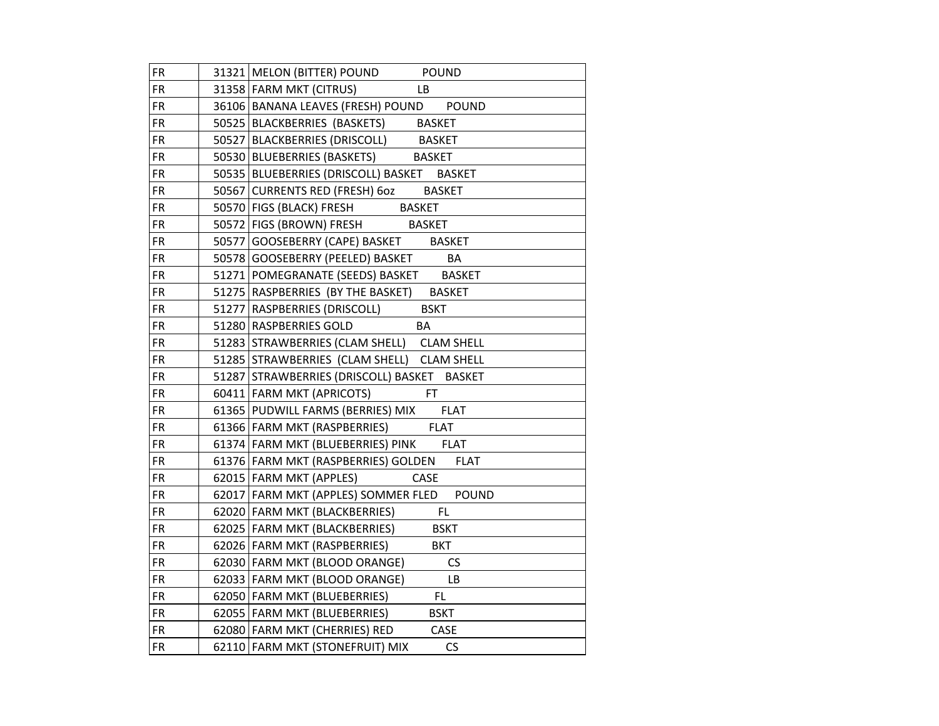| <b>FR</b> | 31321 MELON (BITTER) POUND POUND                   |
|-----------|----------------------------------------------------|
| <b>FR</b> | 31358 FARM MKT (CITRUS)<br>LB.                     |
| FR.       | 36106 BANANA LEAVES (FRESH) POUND POUND            |
| <b>FR</b> | 50525 BLACKBERRIES (BASKETS) BASKET                |
| FR.       | 50527 BLACKBERRIES (DRISCOLL) BASKET               |
| <b>FR</b> | 50530 BLUEBERRIES (BASKETS) BASKET                 |
| <b>FR</b> | 50535 BLUEBERRIES (DRISCOLL) BASKET BASKET         |
| <b>FR</b> | 50567 CURRENTS RED (FRESH) 6oz<br><b>BASKET</b>    |
| <b>FR</b> | 50570   FIGS (BLACK) FRESH BASKET                  |
| FR        | 50572   FIGS (BROWN) FRESH BASKET                  |
| <b>FR</b> | 50577 GOOSEBERRY (CAPE) BASKET BASKET              |
| <b>FR</b> | 50578 GOOSEBERRY (PEELED) BASKET<br>BA             |
| FR.       | 51271 POMEGRANATE (SEEDS) BASKET<br><b>BASKET</b>  |
| FR.       | 51275 RASPBERRIES (BY THE BASKET)<br><b>BASKET</b> |
| <b>FR</b> | 51277 RASPBERRIES (DRISCOLL)<br><b>BSKT</b>        |
| <b>FR</b> | 51280 RASPBERRIES GOLD<br>BA                       |
| FR        | 51283 STRAWBERRIES (CLAM SHELL) CLAM SHELL         |
| FR.       | 51285 STRAWBERRIES (CLAM SHELL) CLAM SHELL         |
| <b>FR</b> | 51287 STRAWBERRIES (DRISCOLL) BASKET BASKET        |
| <b>FR</b> | 60411 FARM MKT (APRICOTS) FT                       |
| <b>FR</b> | 61365 PUDWILL FARMS (BERRIES) MIX FLAT             |
| <b>FR</b> | 61366 FARM MKT (RASPBERRIES)<br><b>FLAT</b>        |
| <b>FR</b> | 61374 FARM MKT (BLUEBERRIES) PINK FLAT             |
| <b>FR</b> | 61376 FARM MKT (RASPBERRIES) GOLDEN<br><b>FLAT</b> |
| FR        | 62015 FARM MKT (APPLES)<br>CASE                    |
| <b>FR</b> | 62017 FARM MKT (APPLES) SOMMER FLED POUND          |
| <b>FR</b> | 62020 FARM MKT (BLACKBERRIES)<br><b>EL</b>         |
| FR.       | 62025 FARM MKT (BLACKBERRIES)<br><b>BSKT</b>       |
| <b>FR</b> | 62026 FARM MKT (RASPBERRIES)<br><b>BKT</b>         |
| <b>FR</b> | 62030 FARM MKT (BLOOD ORANGE)<br><b>CS</b>         |
| <b>FR</b> | LB<br>62033   FARM MKT (BLOOD ORANGE)              |
| FR        | 62050 FARM MKT (BLUEBERRIES)<br>FL.                |
| <b>FR</b> | 62055   FARM MKT (BLUEBERRIES)<br><b>BSKT</b>      |
| <b>FR</b> | 62080 FARM MKT (CHERRIES) RED<br>CASE              |
| <b>FR</b> | 62110 FARM MKT (STONEFRUIT) MIX<br>CS              |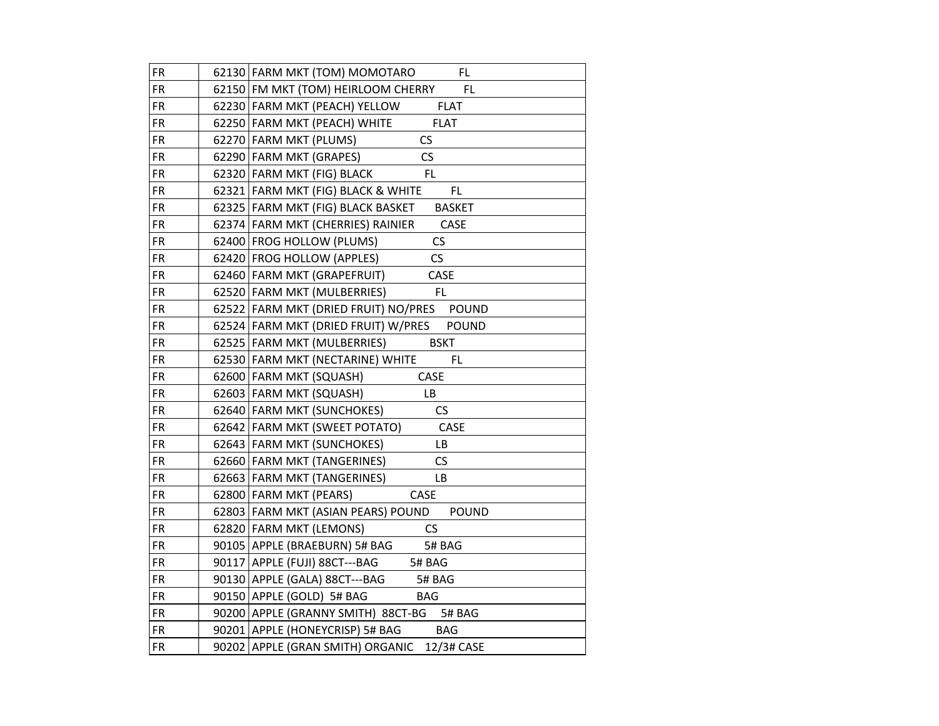| <b>FR</b> | 62130 FARM MKT (TOM) MOMOTARO<br>FL                    |
|-----------|--------------------------------------------------------|
| <b>FR</b> | FL.<br>62150 FM MKT (TOM) HEIRLOOM CHERRY              |
| <b>FR</b> | 62230 FARM MKT (PEACH) YELLOW<br><b>FLAT</b>           |
| <b>FR</b> | <b>FLAT</b><br>62250 FARM MKT (PEACH) WHITE            |
| <b>FR</b> | 62270 FARM MKT (PLUMS)<br>CS                           |
| <b>FR</b> | 62290 FARM MKT (GRAPES)<br>CS                          |
| <b>FR</b> | <b>FL</b><br>62320 FARM MKT (FIG) BLACK                |
| <b>FR</b> | FL<br>62321 FARM MKT (FIG) BLACK & WHITE               |
| FR        | 62325 FARM MKT (FIG) BLACK BASKET<br><b>BASKET</b>     |
| <b>FR</b> | 62374 FARM MKT (CHERRIES) RAINIER<br>CASE              |
| <b>FR</b> | CS<br>62400 FROG HOLLOW (PLUMS)                        |
| <b>FR</b> | $\mathsf{CS}\phantom{0}$<br>62420 FROG HOLLOW (APPLES) |
| <b>FR</b> | 62460 FARM MKT (GRAPEFRUIT)<br>CASE                    |
| <b>FR</b> | FL<br>62520 FARM MKT (MULBERRIES)                      |
| <b>FR</b> | 62522 FARM MKT (DRIED FRUIT) NO/PRES POUND             |
| FR        | 62524 FARM MKT (DRIED FRUIT) W/PRES<br><b>POUND</b>    |
| <b>FR</b> | 62525 FARM MKT (MULBERRIES)<br><b>BSKT</b>             |
| <b>FR</b> | 62530 FARM MKT (NECTARINE) WHITE<br>FL                 |
| <b>FR</b> | CASE<br>62600 FARM MKT (SQUASH)                        |
| <b>FR</b> | 62603   FARM MKT (SQUASH)<br>LB                        |
| <b>FR</b> | <b>CS</b><br>62640 FARM MKT (SUNCHOKES)                |
| FR        | 62642 FARM MKT (SWEET POTATO)<br>CASE                  |
| <b>FR</b> | 62643   FARM MKT (SUNCHOKES)<br>LВ                     |
| <b>FR</b> | CS<br>62660 FARM MKT (TANGERINES)                      |
| <b>FR</b> | 62663 FARM MKT (TANGERINES)<br>LB                      |
| <b>FR</b> | 62800 FARM MKT (PEARS)<br>CASE                         |
| <b>FR</b> | 62803 FARM MKT (ASIAN PEARS) POUND<br><b>POUND</b>     |
| <b>FR</b> | 62820 FARM MKT (LEMONS)<br><b>CS</b>                   |
| FR        | 90105 APPLE (BRAEBURN) 5# BAG<br>5# BAG                |
| <b>FR</b> | 90117 APPLE (FUJI) 88CT---BAG<br>5# BAG                |
| <b>FR</b> | 90130 APPLE (GALA) 88CT---BAG<br>5# BAG                |
| <b>FR</b> | 90150 APPLE (GOLD) 5# BAG<br><b>BAG</b>                |
| <b>FR</b> | 90200 APPLE (GRANNY SMITH) 88CT-BG 5# BAG              |
| <b>FR</b> | 90201 APPLE (HONEYCRISP) 5# BAG<br><b>BAG</b>          |
| <b>FR</b> | 90202 APPLE (GRAN SMITH) ORGANIC<br>12/3# CASE         |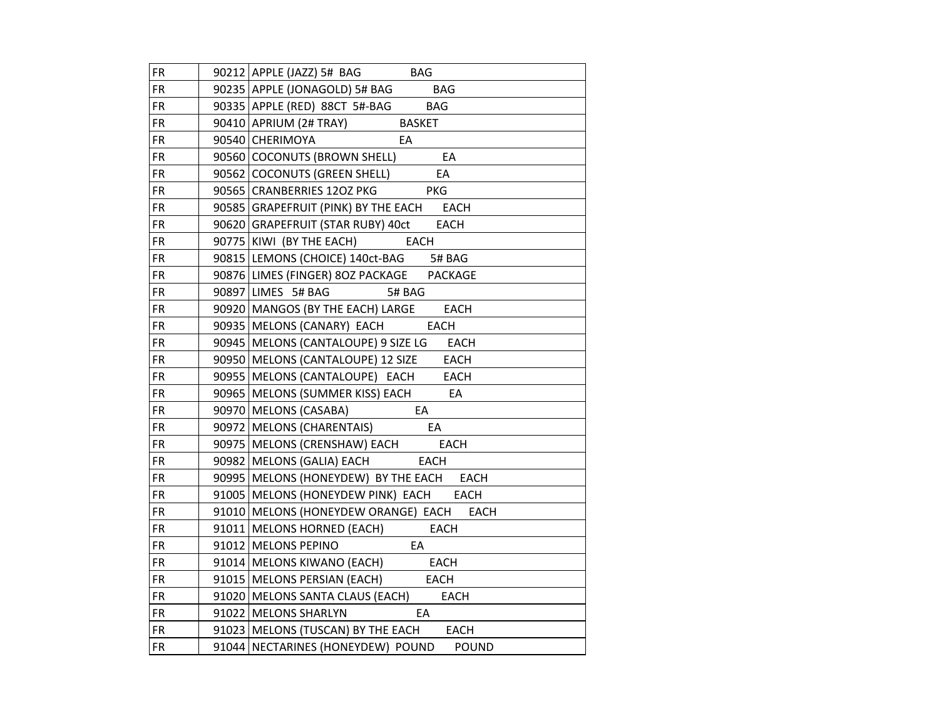| <b>FR</b> | $90212$ APPLE (JAZZ) 5# BAG BAG                    |
|-----------|----------------------------------------------------|
| <b>FR</b> | 90235 APPLE (JONAGOLD) 5# BAG BAG                  |
| <b>FR</b> | 90335 APPLE (RED) 88CT 5#-BAG<br><b>BAG</b>        |
| <b>FR</b> | 90410 APRIUM (2# TRAY) BASKET                      |
| <b>FR</b> | 90540 CHERIMOYA<br>EA                              |
| FR.       | 90560 COCONUTS (BROWN SHELL)<br>EA                 |
| <b>FR</b> | 90562 COCONUTS (GREEN SHELL)<br>EA                 |
| <b>FR</b> | <b>PKG</b><br>90565 CRANBERRIES 120Z PKG           |
| FR.       | 90585 GRAPEFRUIT (PINK) BY THE EACH EACH           |
| FR.       | 90620 GRAPEFRUIT (STAR RUBY) 40ct EACH             |
| FR        | 90775 KIWI (BY THE EACH) EACH                      |
| <b>FR</b> | 90815 LEMONS (CHOICE) 140ct-BAG 5# BAG             |
| <b>FR</b> | 90876 LIMES (FINGER) 8OZ PACKAGE<br><b>PACKAGE</b> |
| <b>FR</b> | 90897 LIMES 5# BAG 5# BAG                          |
| <b>FR</b> | 90920 MANGOS (BY THE EACH) LARGE<br>EACH           |
| FR.       | 90935   MELONS (CANARY) EACH EACH                  |
| FR.       | 90945   MELONS (CANTALOUPE) 9 SIZE LG EACH         |
| <b>FR</b> | 90950   MELONS (CANTALOUPE) 12 SIZE EACH           |
| FR.       | 90955   MELONS (CANTALOUPE) EACH EACH              |
| <b>FR</b> | 90965   MELONS (SUMMER KISS) EACH EA               |
| FR.       | 90970   MELONS (CASABA) EA                         |
| <b>FR</b> | 90972   MELONS (CHARENTAIS) EA                     |
| <b>FR</b> | 90975   MELONS (CRENSHAW) EACH EACH                |
| FR.       | 90982 MELONS (GALIA) EACH EACH                     |
| FR.       | 90995 MELONS (HONEYDEW) BY THE EACH EACH           |
| FR        | 91005   MELONS (HONEYDEW PINK) EACH EACH           |
| <b>FR</b> | 91010 MELONS (HONEYDEW ORANGE) EACH EACH           |
| <b>FR</b> | 91011   MELONS HORNED (EACH) EACH                  |
| <b>FR</b> | 91012 MELONS PEPINO<br>EA                          |
| <b>FR</b> | 91014 MELONS KIWANO (EACH) EACH                    |
| <b>FR</b> | 91015   MELONS PERSIAN (EACH) EACH                 |
| <b>FR</b> | 91020 MELONS SANTA CLAUS (EACH) EACH               |
| <b>FR</b> | 91022 MELONS SHARLYN<br>EA                         |
| <b>FR</b> | 91023 MELONS (TUSCAN) BY THE EACH EACH             |
| <b>FR</b> | 91044 NECTARINES (HONEYDEW) POUND<br>POUND         |